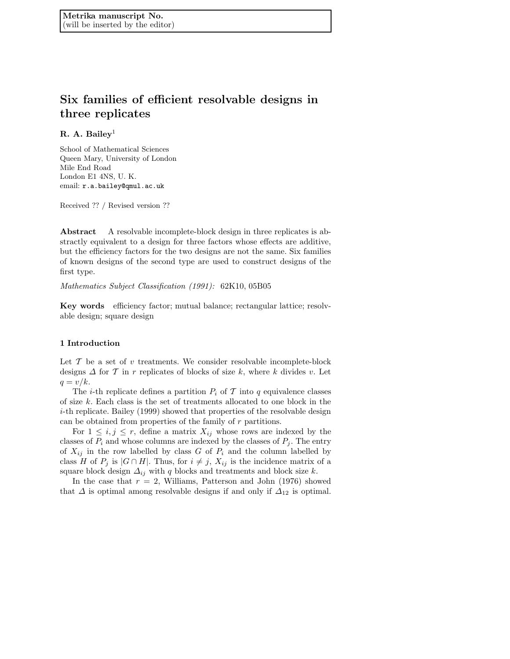# Six families of efficient resolvable designs in three replicates

# R. A. Bailey<sup>1</sup>

School of Mathematical Sciences Queen Mary, University of London Mile End Road London E1 4NS, U. K. email: r.a.bailey@qmul.ac.uk

Received ?? / Revised version ??

Abstract A resolvable incomplete-block design in three replicates is abstractly equivalent to a design for three factors whose effects are additive, but the efficiency factors for the two designs are not the same. Six families of known designs of the second type are used to construct designs of the first type.

Mathematics Subject Classification (1991): 62K10, 05B05

Key words efficiency factor; mutual balance; rectangular lattice; resolvable design; square design

## 1 Introduction

Let  $\mathcal T$  be a set of v treatments. We consider resolvable incomplete-block designs  $\Delta$  for T in r replicates of blocks of size k, where k divides v. Let  $q = v/k$ .

The *i*-th replicate defines a partition  $P_i$  of T into q equivalence classes of size k. Each class is the set of treatments allocated to one block in the i-th replicate. Bailey (1999) showed that properties of the resolvable design can be obtained from properties of the family of r partitions.

For  $1 \leq i, j \leq r$ , define a matrix  $X_{ij}$  whose rows are indexed by the classes of  $P_i$  and whose columns are indexed by the classes of  $P_j$ . The entry of  $X_{ij}$  in the row labelled by class G of  $P_i$  and the column labelled by class H of  $P_j$  is  $|G \cap H|$ . Thus, for  $i \neq j$ ,  $X_{ij}$  is the incidence matrix of a square block design  $\Delta_{ij}$  with q blocks and treatments and block size k.

In the case that  $r = 2$ , Williams, Patterson and John (1976) showed that  $\Delta$  is optimal among resolvable designs if and only if  $\Delta_{12}$  is optimal.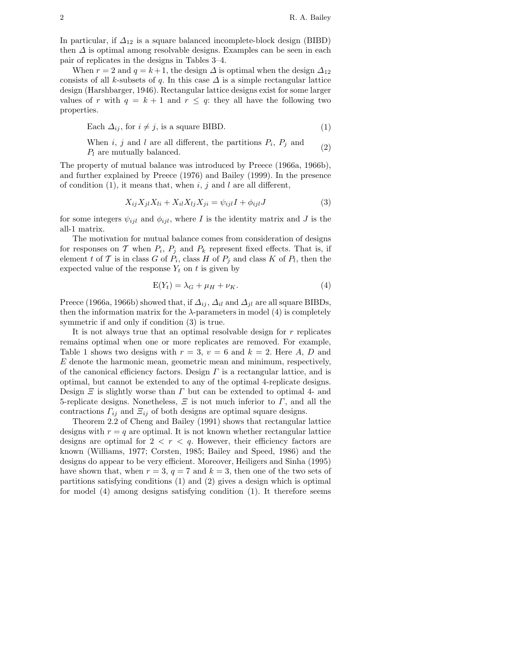In particular, if  $\Delta_{12}$  is a square balanced incomplete-block design (BIBD) then  $\Delta$  is optimal among resolvable designs. Examples can be seen in each pair of replicates in the designs in Tables 3–4.

When  $r = 2$  and  $q = k + 1$ , the design  $\Delta$  is optimal when the design  $\Delta_{12}$ consists of all k-subsets of q. In this case  $\Delta$  is a simple rectangular lattice design (Harshbarger, 1946). Rectangular lattice designs exist for some larger values of r with  $q = k + 1$  and  $r \leq q$ : they all have the following two properties.

Each 
$$
\Delta_{ij}
$$
, for  $i \neq j$ , is a square BIBD. (1)

When *i*, *j* and *l* are all different, the partitions  $P_i$ ,  $P_j$  and  $P_l$  are mutually balanced.

The property of mutual balance was introduced by Preece (1966a, 1966b), and further explained by Preece (1976) and Bailey (1999). In the presence of condition (1), it means that, when  $i, j$  and  $l$  are all different,

$$
X_{ij}X_{jl}X_{li} + X_{il}X_{lj}X_{ji} = \psi_{ijl}I + \phi_{ijl}J
$$
\n(3)

for some integers  $\psi_{ijl}$  and  $\phi_{ijl}$ , where I is the identity matrix and J is the all-1 matrix.

The motivation for mutual balance comes from consideration of designs for responses on T when  $P_i$ ,  $P_j$  and  $P_k$  represent fixed effects. That is, if element t of T is in class G of  $P_i$ , class H of  $P_j$  and class K of  $P_l$ , then the expected value of the response  $Y_t$  on t is given by

$$
E(Y_t) = \lambda_G + \mu_H + \nu_K. \tag{4}
$$

Preece (1966a, 1966b) showed that, if  $\Delta_{ij}$ ,  $\Delta_{il}$  and  $\Delta_{jl}$  are all square BIBDs, then the information matrix for the  $\lambda$ -parameters in model (4) is completely symmetric if and only if condition (3) is true.

It is not always true that an optimal resolvable design for  $r$  replicates remains optimal when one or more replicates are removed. For example, Table 1 shows two designs with  $r = 3$ ,  $v = 6$  and  $k = 2$ . Here A, D and E denote the harmonic mean, geometric mean and minimum, respectively, of the canonical efficiency factors. Design  $\Gamma$  is a rectangular lattice, and is optimal, but cannot be extended to any of the optimal 4-replicate designs. Design  $\Xi$  is slightly worse than  $\Gamma$  but can be extended to optimal 4- and 5-replicate designs. Nonetheless,  $\Xi$  is not much inferior to  $\Gamma$ , and all the contractions  $\Gamma_{ij}$  and  $\Xi_{ij}$  of both designs are optimal square designs.

Theorem 2.2 of Cheng and Bailey (1991) shows that rectangular lattice designs with  $r = q$  are optimal. It is not known whether rectangular lattice designs are optimal for  $2 < r < q$ . However, their efficiency factors are known (Williams, 1977; Corsten, 1985; Bailey and Speed, 1986) and the designs do appear to be very efficient. Moreover, Heiligers and Sinha (1995) have shown that, when  $r = 3$ ,  $q = 7$  and  $k = 3$ , then one of the two sets of partitions satisfying conditions (1) and (2) gives a design which is optimal for model (4) among designs satisfying condition (1). It therefore seems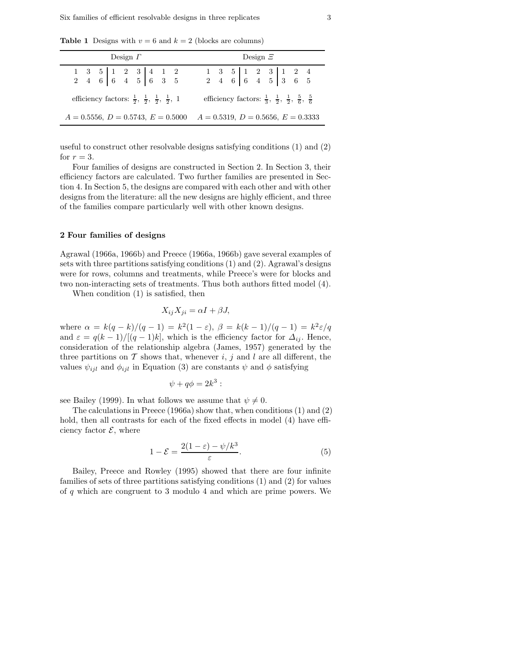**Table 1** Designs with  $v = 6$  and  $k = 2$  (blocks are columns)

| Design $\Gamma$                                                                                               | Design $\Xi$                                                                                                  |  |  |  |  |
|---------------------------------------------------------------------------------------------------------------|---------------------------------------------------------------------------------------------------------------|--|--|--|--|
| $\begin{array}{cccc cccc} 1 & 3 & 5 & 1 & 2 & 3 & 4 & 1 & 2 \\ 2 & 4 & 6 & 6 & 4 & 5 & 6 & 3 & 5 \end{array}$ | $\begin{array}{ccc ccc c} 1 & 3 & 5 & 1 & 2 & 3 & 1 & 2 & 4 \\ 2 & 4 & 6 & 6 & 4 & 5 & 3 & 6 & 5 \end{array}$ |  |  |  |  |
| efficiency factors: $\frac{1}{2}$ , $\frac{1}{2}$ , $\frac{1}{2}$ , $\frac{1}{2}$ , 1                         | efficiency factors: $\frac{1}{3}$ , $\frac{1}{2}$ , $\frac{1}{2}$ , $\frac{5}{6}$ , $\frac{5}{6}$             |  |  |  |  |
| $A = 0.5556, D = 0.5743, E = 0.5000$                                                                          | $A = 0.5319, D = 0.5656, E = 0.3333$                                                                          |  |  |  |  |

useful to construct other resolvable designs satisfying conditions (1) and (2) for  $r = 3$ .

Four families of designs are constructed in Section 2. In Section 3, their efficiency factors are calculated. Two further families are presented in Section 4. In Section 5, the designs are compared with each other and with other designs from the literature: all the new designs are highly efficient, and three of the families compare particularly well with other known designs.

### 2 Four families of designs

Agrawal (1966a, 1966b) and Preece (1966a, 1966b) gave several examples of sets with three partitions satisfying conditions (1) and (2). Agrawal's designs were for rows, columns and treatments, while Preece's were for blocks and two non-interacting sets of treatments. Thus both authors fitted model (4).

When condition (1) is satisfied, then

$$
X_{ij}X_{ji} = \alpha I + \beta J,
$$

where  $\alpha = k(q-k)/(q-1) = k^2(1-\varepsilon), \ \beta = k(k-1)/(q-1) = k^2\varepsilon/q$ and  $\varepsilon = q(k-1)/[(q-1)k]$ , which is the efficiency factor for  $\Delta_{ij}$ . Hence, consideration of the relationship algebra (James, 1957) generated by the three partitions on  $\mathcal T$  shows that, whenever i, j and l are all different, the values  $\psi_{ijl}$  and  $\phi_{ijl}$  in Equation (3) are constants  $\psi$  and  $\phi$  satisfying

$$
\psi + q\phi = 2k^3:
$$

see Bailey (1999). In what follows we assume that  $\psi \neq 0$ .

The calculations in Preece  $(1966a)$  show that, when conditions  $(1)$  and  $(2)$ hold, then all contrasts for each of the fixed effects in model (4) have efficiency factor  $\mathcal{E}$ , where

$$
1 - \mathcal{E} = \frac{2(1 - \varepsilon) - \psi/k^3}{\varepsilon}.
$$
 (5)

Bailey, Preece and Rowley (1995) showed that there are four infinite families of sets of three partitions satisfying conditions (1) and (2) for values of q which are congruent to 3 modulo 4 and which are prime powers. We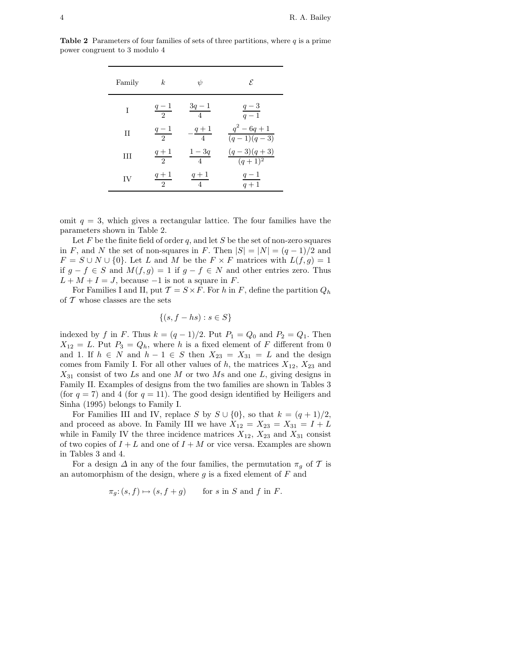**Table 2** Parameters of four families of sets of three partitions, where  $q$  is a prime power congruent to 3 modulo 4

| Family      | k.                      | $\psi$                  | E.                               |
|-------------|-------------------------|-------------------------|----------------------------------|
| T           | $\frac{q-1}{2}$         | $\frac{3q-1}{4}$        | $\frac{q-3}{q-1}$                |
| $_{\rm II}$ | $\frac{q-1}{2}$         | $-\frac{q+1}{4}$        | $q^2 - 6q + 1$<br>$(q-1)(q-3)$   |
| Ħ           | $\frac{q+1}{2}$         | $\frac{1-3q}{4}$        | $(q-3)(q+3)$<br>$\sqrt{(q+1)^2}$ |
| IV          | $q+1$<br>$\overline{2}$ | $q+1$<br>$\overline{4}$ | $q-1$<br>$q+1$                   |

omit  $q = 3$ , which gives a rectangular lattice. The four families have the parameters shown in Table 2.

Let F be the finite field of order q, and let S be the set of non-zero squares in F, and N the set of non-squares in F. Then  $|S| = |N| = (q-1)/2$  and  $F = S \cup N \cup \{0\}$ . Let L and M be the  $F \times F$  matrices with  $L(f, g) = 1$ if  $g - f \in S$  and  $M(f, g) = 1$  if  $g - f \in N$  and other entries zero. Thus  $L + M + I = J$ , because  $-1$  is not a square in F.

For Families I and II, put  $\mathcal{T} = S \times F$ . For h in F, define the partition  $Q_h$ of  $\mathcal T$  whose classes are the sets

$$
\{(s, f - hs) : s \in S\}
$$

indexed by f in F. Thus  $k = (q-1)/2$ . Put  $P_1 = Q_0$  and  $P_2 = Q_1$ . Then  $X_{12} = L$ . Put  $P_3 = Q_h$ , where h is a fixed element of F different from 0 and 1. If  $h \in N$  and  $h - 1 \in S$  then  $X_{23} = X_{31} = L$  and the design comes from Family I. For all other values of  $h$ , the matrices  $X_{12}$ ,  $X_{23}$  and  $X_{31}$  consist of two Ls and one M or two Ms and one L, giving designs in Family II. Examples of designs from the two families are shown in Tables 3 (for  $q = 7$ ) and 4 (for  $q = 11$ ). The good design identified by Heiligers and Sinha (1995) belongs to Family I.

For Families III and IV, replace S by  $S \cup \{0\}$ , so that  $k = (q + 1)/2$ , and proceed as above. In Family III we have  $X_{12} = X_{23} = X_{31} = I + L$ while in Family IV the three incidence matrices  $X_{12}$ ,  $X_{23}$  and  $X_{31}$  consist of two copies of  $I + L$  and one of  $I + M$  or vice versa. Examples are shown in Tables 3 and 4.

For a design  $\Delta$  in any of the four families, the permutation  $\pi_g$  of  $\mathcal T$  is an automorphism of the design, where  $g$  is a fixed element of  $F$  and

$$
\pi_g: (s, f) \mapsto (s, f + g) \quad \text{for } s \text{ in } S \text{ and } f \text{ in } F.
$$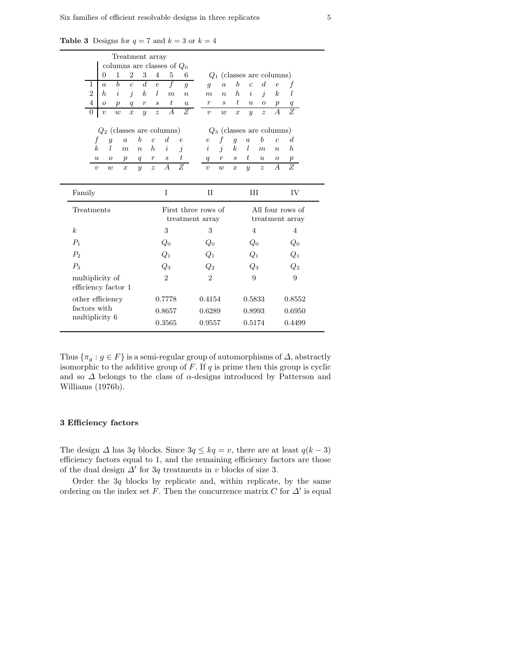|                     |                  |                  | Treatment array  |                  |                  |                             |                              |                  |                  |                  |                             |                  |                  |                             |                  |                  |  |
|---------------------|------------------|------------------|------------------|------------------|------------------|-----------------------------|------------------------------|------------------|------------------|------------------|-----------------------------|------------------|------------------|-----------------------------|------------------|------------------|--|
|                     |                  |                  |                  |                  |                  |                             | columns are classes of $Q_0$ |                  |                  |                  |                             |                  |                  |                             |                  |                  |  |
|                     | $\Omega$         | 1                |                  | $\overline{2}$   | 3                | $\overline{4}$              | 5                            | 6                |                  |                  |                             |                  |                  | $Q_1$ (classes are columns) |                  |                  |  |
| 1                   | $\overline{a}$   |                  | b                | $\overline{c}$   | d                | $\epsilon$                  | $\overline{f}$               | $\mathfrak{g}$   |                  | $\overline{g}$   | $\overline{a}$              | $\boldsymbol{b}$ | $\overline{c}$   | $\boldsymbol{d}$            | $\epsilon$       | f                |  |
| $\overline{2}$      | h                |                  | $\dot{\imath}$   | $\dot{\jmath}$   | $\boldsymbol{k}$ | l                           | $\boldsymbol{m}$             | $\overline{n}$   |                  | $\boldsymbol{m}$ | $\eta$                      | $\hbar$          | $\dot{i}$        | $\dot{\eta}$                | $\boldsymbol{k}$ | l                |  |
| $\overline{4}$      | $\boldsymbol{O}$ | $\boldsymbol{p}$ |                  | q                | $\,r\,$          | $\mathcal{S}_{\mathcal{S}}$ | $\boldsymbol{t}$             | $\boldsymbol{u}$ |                  | $\boldsymbol{r}$ | $\mathcal{S}_{\mathcal{S}}$ | t.               | $\boldsymbol{u}$ | $\boldsymbol{O}$            | $\boldsymbol{p}$ |                  |  |
| $\overline{0}$      | $\boldsymbol{v}$ | w                |                  | $\boldsymbol{x}$ | $\boldsymbol{y}$ | $\boldsymbol{z}$            | $\overline{A}$               | $\overline{Z}$   |                  | $\eta$           | w                           | $\overline{x}$   | $\boldsymbol{y}$ | $\overline{z}$              | $\overline{A}$   | Z                |  |
|                     |                  |                  |                  |                  |                  |                             | $Q_2$ (classes are columns)  |                  |                  |                  |                             |                  |                  | $Q_3$ (classes are columns) |                  |                  |  |
| f                   |                  | $\overline{g}$   | $\overline{a}$   | $\boldsymbol{b}$ | $\overline{c}$   |                             | d                            | $\epsilon$       |                  | $\boldsymbol{e}$ | f                           | $\mathfrak{g}$   | $\overline{a}$   | $\boldsymbol{b}$            | $\overline{c}$   | $\boldsymbol{d}$ |  |
| $\boldsymbol{k}$    |                  | L                | $\boldsymbol{m}$ | $\boldsymbol{n}$ | $\boldsymbol{h}$ |                             | i                            | j                |                  | $\dot{i}$        | $\dot{j}$                   | $\boldsymbol{k}$ | $l_{\rm }$       | $\boldsymbol{m}$            | $\boldsymbol{n}$ | $\boldsymbol{h}$ |  |
| $\boldsymbol{u}$    |                  | $\boldsymbol{o}$ | $\boldsymbol{p}$ | q                | $\boldsymbol{r}$ |                             | $\mathcal{S}_{\mathcal{S}}$  | $t\,$            |                  | q                | $\boldsymbol{r}$            | $\boldsymbol{s}$ | t                | $\boldsymbol{u}$            | $\boldsymbol{o}$ | $\boldsymbol{p}$ |  |
| $\upsilon$          |                  | w                | $\boldsymbol{x}$ | $\boldsymbol{y}$ | $\boldsymbol{z}$ |                             | А                            | $\overline{Z}$   |                  | $\boldsymbol{v}$ | w                           | $\boldsymbol{x}$ | $\boldsymbol{y}$ | $\boldsymbol{z}$            | $\overline{A}$   | $\overline{Z}$   |  |
|                     |                  |                  |                  |                  |                  |                             |                              |                  |                  |                  |                             |                  |                  |                             |                  |                  |  |
| Family              |                  |                  |                  |                  |                  |                             | I                            |                  |                  | $_{\rm II}$      |                             |                  | III              |                             |                  | IV               |  |
| Treatments          |                  |                  |                  |                  |                  | First three rows of         |                              |                  | All four rows of |                  |                             |                  |                  |                             |                  |                  |  |
|                     |                  |                  |                  |                  |                  |                             |                              | treatment array  |                  |                  |                             |                  |                  |                             |                  | treatment array  |  |
| $\boldsymbol{k}$    |                  |                  |                  |                  |                  |                             | 3                            |                  |                  | 3                |                             |                  | $\overline{4}$   |                             |                  | $\overline{4}$   |  |
| $P_1$               |                  |                  |                  |                  |                  |                             | $Q_0$                        |                  |                  | $Q_0$            |                             |                  | $Q_0$            |                             |                  | $Q_0$            |  |
| $P_2$               |                  |                  |                  |                  |                  | $Q_1$                       |                              | $Q_1$            |                  | $Q_1$            |                             |                  | $Q_1$            |                             |                  |                  |  |
| $P_3$               |                  |                  |                  |                  |                  | $\scriptstyle Q_3$          |                              |                  | $\mathit{Q}_2$   |                  | $\scriptstyle Q_3$          |                  |                  | $\scriptstyle Q_2$          |                  |                  |  |
| multiplicity of     |                  |                  |                  |                  | $\overline{2}$   |                             | $\overline{2}$               |                  | 9                |                  |                             | 9                |                  |                             |                  |                  |  |
| efficiency factor 1 |                  |                  |                  |                  |                  |                             |                              |                  |                  |                  |                             |                  |                  |                             |                  |                  |  |
| other efficiency    |                  |                  |                  |                  |                  |                             | 0.7778                       |                  |                  | 0.4154           |                             |                  | 0.5833           |                             |                  | 0.8552           |  |
| factors with        |                  |                  |                  |                  |                  |                             | 0.8657                       |                  |                  | 0.6289           |                             |                  | 0.8993           |                             |                  | 0.6950           |  |
| multiplicity 6      |                  |                  |                  |                  |                  |                             | 0.3565                       |                  |                  | 0.9557           |                             |                  | 0.5174           |                             |                  | 0.4499           |  |
|                     |                  |                  |                  |                  |                  |                             |                              |                  |                  |                  |                             |                  |                  |                             |                  |                  |  |

**Table 3** Designs for  $q = 7$  and  $k = 3$  or  $k = 4$ 

Thus  $\{\pi_q : g \in F\}$  is a semi-regular group of automorphisms of  $\Delta$ , abstractly isomorphic to the additive group of  $F$ . If  $q$  is prime then this group is cyclic and so  $\Delta$  belongs to the class of  $\alpha$ -designs introduced by Patterson and Williams (1976b).

### 3 Efficiency factors

The design  $\Delta$  has 3q blocks. Since  $3q \leq kq = v$ , there are at least  $q(k-3)$ efficiency factors equal to 1, and the remaining efficiency factors are those of the dual design  $\Delta'$  for 3q treatments in v blocks of size 3.

Order the  $3q$  blocks by replicate and, within replicate, by the same ordering on the index set F. Then the concurrence matrix C for  $\Delta'$  is equal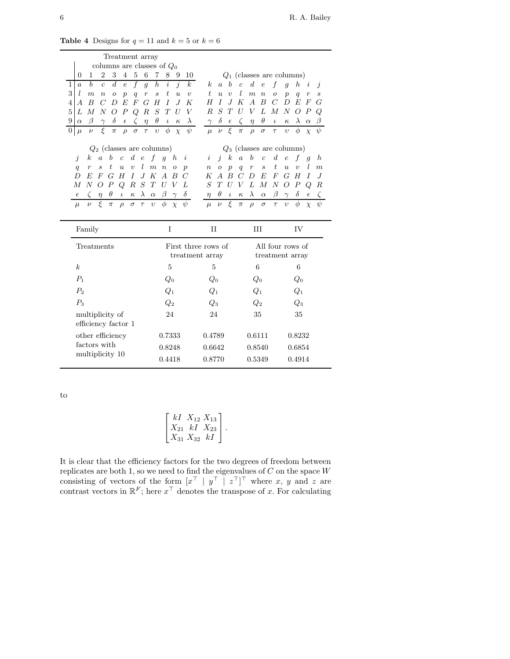| Treatment array                                                                                                             |                                                             |                                                                          |                                                        |                                                                    |
|-----------------------------------------------------------------------------------------------------------------------------|-------------------------------------------------------------|--------------------------------------------------------------------------|--------------------------------------------------------|--------------------------------------------------------------------|
| columns are classes of $Q_0$                                                                                                |                                                             |                                                                          |                                                        |                                                                    |
| $\overline{2}$<br>3<br>$\overline{5}$<br>$\overline{4}$<br>6<br>$\theta$<br>1                                               | 8<br>7<br>9<br>10                                           |                                                                          | $Q_1$ (classes are columns)                            |                                                                    |
| $\boldsymbol{b}$<br>$\boldsymbol{d}$<br>$\boldsymbol{f}$<br>1<br>$\overline{c}$<br>$\epsilon$<br>$\overline{g}$<br>$\alpha$ | $\overline{j}$<br>$\boldsymbol{k}$<br>$\boldsymbol{h}$<br>i | $\boldsymbol{b}$<br>k.<br>$\overline{c}$<br>$\boldsymbol{a}$             | $\boldsymbol{d}$<br>f<br>$\epsilon$                    | $\boldsymbol{h}$<br>$\overline{g}$<br>i<br>$\overline{\mathbf{z}}$ |
| 3<br>1.<br>$\boldsymbol{m}$<br>$\boldsymbol{n}$<br>$\boldsymbol{r}$<br>O<br>$\mathfrak{p}$<br>q                             | t<br>$\overline{u}$<br>S<br>$\boldsymbol{v}$                | t<br>$\boldsymbol{v}$<br>$\boldsymbol{u}$                                | $\overline{m}$<br>$\boldsymbol{n}$<br>$\overline{O}$   | $\overline{p}$<br>q<br>$\boldsymbol{r}$<br>S                       |
| E<br>$\overline{F}$<br>$\boldsymbol{B}$<br>C<br>G<br>D<br>4<br>А                                                            | H<br>I<br>J<br>K                                            | H<br>Ι<br>$J_{\cdot}$<br>К                                               | $\boldsymbol{B}$<br>$\overline{C}$<br>А                | D<br>E<br>$\boldsymbol{F}$<br>G                                    |
| $\overline{5}$<br>$\boldsymbol{R}$<br>L<br>М<br>N<br>Ω<br>Р<br>Q                                                            | $\,$ S<br>T<br>U<br>V                                       | $\boldsymbol{R}$<br>S<br>Т<br>U                                          | V<br>L<br>М                                            | $\boldsymbol{N}$<br>$\overline{O}$<br>$\boldsymbol{P}$<br>Q        |
| 9<br>δ<br>β<br>C<br>$\eta$<br>$\epsilon$<br>$\alpha$                                                                        | $\theta$<br>$\lambda$<br>$\iota$<br>$\kappa$                | $\delta$<br>ζ<br>$\gamma$<br>$\epsilon$                                  | $\theta$<br>$\eta$<br>$\iota$                          | $\lambda$<br>$\kappa$<br>$\alpha$                                  |
| ξ<br>$\theta$<br>$\sigma$<br>$\tau$<br>$\nu$<br>$\pi$<br>$\rho$<br>$\mu$                                                    | ψ<br>φ<br>$\upsilon$<br>$\chi$                              | ξ<br>$\mu$<br>$\nu$<br>$\pi$                                             | $\rho$<br>$\sigma$<br>$\tau$                           | $\upsilon$<br>φ<br>ψ<br>$\chi$                                     |
| $Q_2$ (classes are columns)                                                                                                 |                                                             |                                                                          | $Q_3$ (classes are columns)                            |                                                                    |
| $\boldsymbol{d}$<br>$\boldsymbol{b}$<br>f<br>$\boldsymbol{a}$<br>$\overline{c}$<br>$\epsilon$<br>Ĵ<br>$\kappa$              | q<br>$\boldsymbol{h}$<br>i                                  | i<br>$\boldsymbol{k}$<br>$\boldsymbol{a}$<br>$\overline{\mathbf{r}}$     | $\boldsymbol{b}$<br>$\boldsymbol{d}$<br>$\overline{c}$ | $\epsilon$<br>f<br>$\hbar$<br>q                                    |
| l<br>t<br>$\boldsymbol{u}$<br>$\boldsymbol{m}$<br>$\boldsymbol{r}$<br>S<br>$\boldsymbol{v}$<br>q                            | $\boldsymbol{n}$<br>$\boldsymbol{o}$<br>$\boldsymbol{p}$    | $\boldsymbol{n}$<br>$\overline{O}$<br>$\boldsymbol{p}$<br>$\overline{q}$ | $\boldsymbol{t}$<br>S<br>$\boldsymbol{r}$              | l<br>$\boldsymbol{u}$<br>$\boldsymbol{v}$<br>$\boldsymbol{m}$      |
| J<br>G<br>H<br>I<br>K<br>D<br>E<br>F                                                                                        | $\overline{A}$<br>B<br>C                                    | $\boldsymbol{B}$<br>$\overline{C}$<br>K<br>$\overline{A}$                | $\overline{F}$<br>D<br>E                               | G<br>H<br>I<br>$J_{\cdot}$                                         |
| $\overline{P}$<br>$\cal R$<br>S<br>T<br>$\overline{N}$<br>Q<br>M<br>O                                                       | U<br>V<br>L                                                 | S<br>T<br>U<br>V                                                         | L<br>$\overline{N}$<br>$\boldsymbol{M}$                | $\boldsymbol{P}$<br>$\overline{O}$<br>Q<br>R                       |
| $\theta$<br>$\lambda$<br>ζ<br>$\kappa$<br>$\alpha$<br>$\eta$<br>$\iota$<br>$\epsilon$                                       | $\beta$<br>δ                                                | $\theta$<br>$\eta$<br>$\iota$<br>$\kappa$                                | $\lambda$<br>β<br>$\alpha$                             | $\delta$<br>$\gamma$<br>$\epsilon$                                 |
| ξ<br>$\overline{\nu}$<br>$\upsilon$<br>$\pi$<br>$\rho$<br>$\tau$<br>$\mu$<br>$\sigma$                                       | $\psi$<br>$\phi$<br>$\chi$                                  | ξ<br>$\mu$<br>$\nu$<br>$\pi$                                             | $\rho$<br>$\sigma$<br>$\tau$                           | $\phi$<br>$\upsilon$<br>$\chi$                                     |
|                                                                                                                             |                                                             |                                                                          |                                                        |                                                                    |
| Family                                                                                                                      | I                                                           | $_{II}$                                                                  | III                                                    | IV                                                                 |
| Treatments                                                                                                                  | First three rows of                                         |                                                                          |                                                        | All four rows of                                                   |
|                                                                                                                             | treatment array                                             |                                                                          |                                                        | treatment array                                                    |
| k <sub>i</sub>                                                                                                              | 5                                                           | 5                                                                        | 6                                                      | 6                                                                  |
| $P_1$                                                                                                                       | $Q_0$                                                       | $Q_0$                                                                    | $Q_0$                                                  | $Q_0$                                                              |
| P <sub>2</sub>                                                                                                              | $Q_1$                                                       | $Q_1$                                                                    | $Q_1$                                                  | $Q_1$                                                              |
| $P_3$                                                                                                                       | $\scriptstyle Q_2$                                          | $\,Q_3$                                                                  | $\scriptstyle Q_2$                                     | $Q_3$                                                              |
| multiplicity of<br>efficiency factor 1                                                                                      | 24                                                          | 24                                                                       | 35                                                     | 35                                                                 |
| other efficiency                                                                                                            | 0.7333                                                      | 0.4789                                                                   | 0.6111                                                 | 0.8232                                                             |
| factors with<br>multiplicity 10                                                                                             | 0.8248                                                      | 0.6642                                                                   | 0.8540                                                 | 0.6854                                                             |

Table 4 Designs for  $q = 11$  and  $k = 5$  or  $k = 6$ 

to

|                         | $k1 X_{12} X_{13}$   |  |
|-------------------------|----------------------|--|
|                         | $X_{21}$ kI $X_{23}$ |  |
| $\mid X_{31} X_{32} kI$ |                      |  |

It is clear that the efficiency factors for the two degrees of freedom between replicates are both 1, so we need to find the eigenvalues of  $C$  on the space  $W$ consisting of vectors of the form  $[x^{\top} | y^{\top} | z^{\top}]^{\top}$  where x, y and z are contrast vectors in  $\mathbb{R}^F$ ; here  $x^{\top}$  denotes the transpose of x. For calculating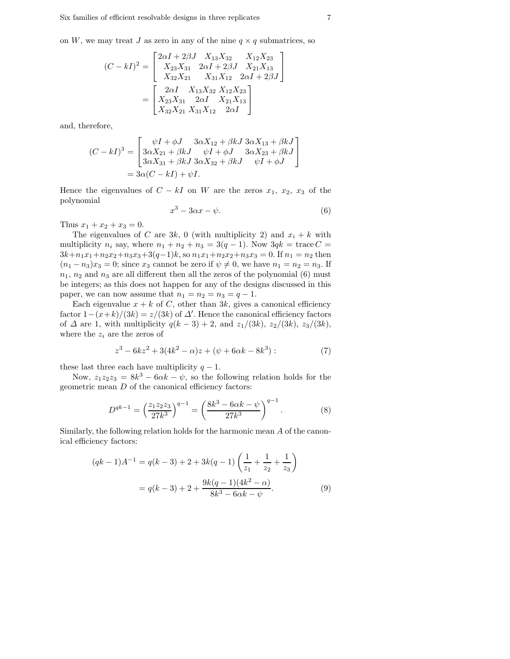on W, we may treat J as zero in any of the nine  $q \times q$  submatrices, so

$$
(C - kI)^2 = \begin{bmatrix} 2\alpha I + 2\beta J & X_{13}X_{32} & X_{12}X_{23} \\ X_{23}X_{31} & 2\alpha I + 2\beta J & X_{21}X_{13} \\ X_{32}X_{21} & X_{31}X_{12} & 2\alpha I + 2\beta J \end{bmatrix}
$$

$$
= \begin{bmatrix} 2\alpha I & X_{13}X_{32} & X_{12}X_{23} \\ X_{23}X_{31} & 2\alpha I & X_{21}X_{13} \\ X_{32}X_{21} & X_{31}X_{12} & 2\alpha I \end{bmatrix}
$$

and, therefore,

$$
(C - kI)^3 = \begin{bmatrix} \psi I + \phi J & 3\alpha X_{12} + \beta kJ & 3\alpha X_{13} + \beta kJ \\ 3\alpha X_{21} + \beta kJ & \psi I + \phi J & 3\alpha X_{23} + \beta kJ \\ 3\alpha X_{31} + \beta kJ & 3\alpha X_{32} + \beta kJ & \psi I + \phi J \end{bmatrix}
$$
  
=  $3\alpha(C - kI) + \psi I$ .

Hence the eigenvalues of  $C - kI$  on W are the zeros  $x_1, x_2, x_3$  of the polynomial

$$
x^3 - 3\alpha x - \psi.
$$
 (6)

Thus  $x_1 + x_2 + x_3 = 0$ .

The eigenvalues of C are 3k, 0 (with multiplicity 2) and  $x_i + k$  with multiplicity  $n_i$  say, where  $n_1 + n_2 + n_3 = 3(q - 1)$ . Now  $3qk = \text{trace } C =$  $3k+n_1x_1+n_2x_2+n_3x_3+3(q-1)k$ , so  $n_1x_1+n_2x_2+n_3x_3=0$ . If  $n_1 = n_2$  then  $(n_1 - n_3)x_3 = 0$ ; since  $x_3$  cannot be zero if  $\psi \neq 0$ , we have  $n_1 = n_2 = n_3$ . If  $n_1$ ,  $n_2$  and  $n_3$  are all different then all the zeros of the polynomial (6) must be integers; as this does not happen for any of the designs discussed in this paper, we can now assume that  $n_1 = n_2 = n_3 = q - 1$ .

Each eigenvalue  $x + k$  of C, other than 3k, gives a canonical efficiency factor  $1-(x+k)/(3k) = z/(3k)$  of  $\Delta'$ . Hence the canonical efficiency factors of  $\Delta$  are 1, with multiplicity  $q(k-3) + 2$ , and  $z_1/(3k)$ ,  $z_2/(3k)$ ,  $z_3/(3k)$ , where the  $z_i$  are the zeros of

$$
z^{3} - 6kz^{2} + 3(4k^{2} - \alpha)z + (\psi + 6\alpha k - 8k^{3}):
$$
 (7)

these last three each have multiplicity  $q - 1$ .

Now,  $z_1 z_2 z_3 = 8k^3 - 6\alpha k - \psi$ , so the following relation holds for the geometric mean D of the canonical efficiency factors:

$$
D^{qk-1} = \left(\frac{z_1 z_2 z_3}{27k^3}\right)^{q-1} = \left(\frac{8k^3 - 6\alpha k - \psi}{27k^3}\right)^{q-1}.
$$
 (8)

Similarly, the following relation holds for the harmonic mean A of the canonical efficiency factors:

$$
(qk - 1)A^{-1} = q(k - 3) + 2 + 3k(q - 1)\left(\frac{1}{z_1} + \frac{1}{z_2} + \frac{1}{z_3}\right)
$$

$$
= q(k - 3) + 2 + \frac{9k(q - 1)(4k^2 - \alpha)}{8k^3 - 6\alpha k - \psi}.
$$
(9)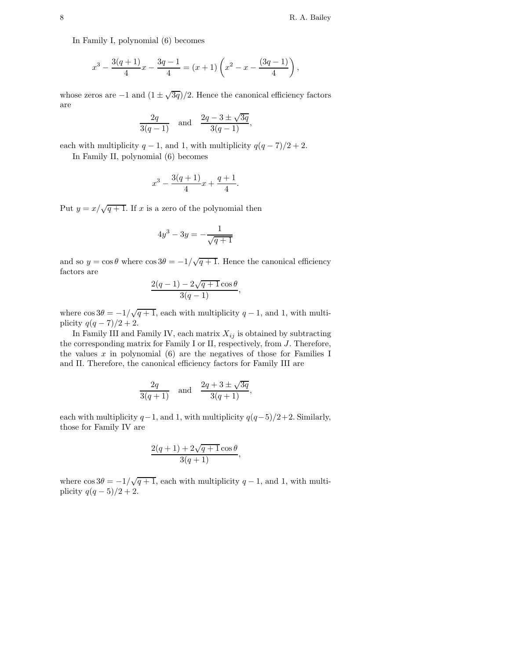In Family I, polynomial (6) becomes

$$
x^3 - \frac{3(q+1)}{4}x - \frac{3q-1}{4} = (x+1)\left(x^2 - x - \frac{(3q-1)}{4}\right),
$$

whose zeros are  $-1$  and  $(1 \pm \sqrt{3q})/2$ . Hence the canonical efficiency factors are

$$
\frac{2q}{3(q-1)}
$$
 and  $\frac{2q-3\pm\sqrt{3q}}{3(q-1)}$ ,

each with multiplicity  $q-1$ , and 1, with multiplicity  $q(q-7)/2+2$ .

In Family II, polynomial (6) becomes

$$
x^3 - \frac{3(q+1)}{4}x + \frac{q+1}{4}.
$$

Put  $y = x/\sqrt{q+1}$ . If x is a zero of the polynomial then

$$
4y^3 - 3y = -\frac{1}{\sqrt{q+1}}
$$

and so  $y = \cos \theta$  where  $\cos 3\theta = -1/\sqrt{q+1}$ . Hence the canonical efficiency factors are

$$
\frac{2(q-1)-2\sqrt{q+1}\cos\theta}{3(q-1)},
$$

where  $\cos 3\theta = -1/\sqrt{q+1}$ , each with multiplicity  $q-1$ , and 1, with multiplicity  $q(q-7)/2+2$ .

In Family III and Family IV, each matrix  $X_{ij}$  is obtained by subtracting the corresponding matrix for Family I or II, respectively, from J. Therefore, the values  $x$  in polynomial  $(6)$  are the negatives of those for Families I and II. Therefore, the canonical efficiency factors for Family III are

$$
\frac{2q}{3(q+1)} \quad \text{and} \quad \frac{2q+3\pm\sqrt{3q}}{3(q+1)},
$$

each with multiplicity  $q-1$ , and 1, with multiplicity  $q(q-5)/2+2$ . Similarly, those for Family IV are

$$
\frac{2(q+1)+2\sqrt{q+1}\cos\theta}{3(q+1)},
$$

where  $\cos 3\theta = -1/\sqrt{q+1}$ , each with multiplicity  $q-1$ , and 1, with multiplicity  $q(q-5)/2+2$ .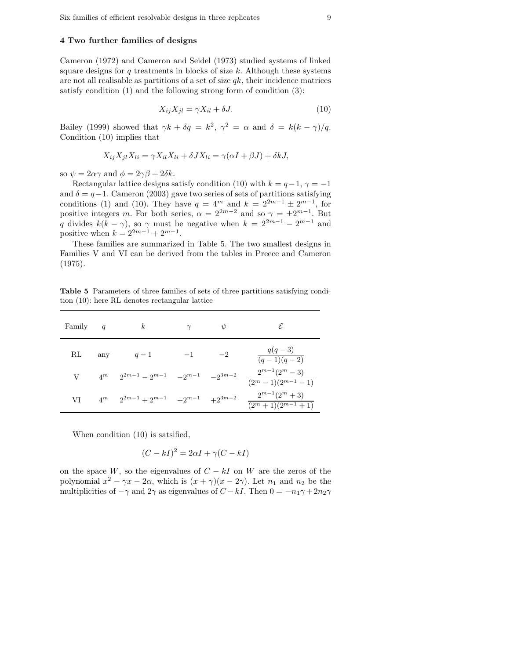## 4 Two further families of designs

Cameron (1972) and Cameron and Seidel (1973) studied systems of linked square designs for  $q$  treatments in blocks of size  $k$ . Although these systems are not all realisable as partitions of a set of size  $qk$ , their incidence matrices satisfy condition (1) and the following strong form of condition (3):

$$
X_{ij}X_{jl} = \gamma X_{il} + \delta J. \tag{10}
$$

Bailey (1999) showed that  $\gamma k + \delta q = k^2$ ,  $\gamma^2 = \alpha$  and  $\delta = k(k - \gamma)/q$ . Condition (10) implies that

$$
X_{ij}X_{jl}X_{li} = \gamma X_{il}X_{li} + \delta JX_{li} = \gamma(\alpha I + \beta J) + \delta k J,
$$

so  $\psi = 2\alpha\gamma$  and  $\phi = 2\gamma\beta + 2\delta k$ .

Rectangular lattice designs satisfy condition (10) with  $k = q-1$ ,  $\gamma = -1$ and  $\delta = q-1$ . Cameron (2003) gave two series of sets of partitions satisfying conditions (1) and (10). They have  $q = 4^m$  and  $k = 2^{2m-1} \pm 2^{m-1}$ , for positive integers m. For both series,  $\alpha = 2^{2m-2}$  and so  $\gamma = \pm 2^{m-1}$ . But q divides  $k(k - \gamma)$ , so  $\gamma$  must be negative when  $k = 2^{2m-1} - 2^{m-1}$  and positive when  $k = 2^{2m-1} + 2^{m-1}$ .

These families are summarized in Table 5. The two smallest designs in Families V and VI can be derived from the tables in Preece and Cameron (1975).

Table 5 Parameters of three families of sets of three partitions satisfying condition (10): here RL denotes rectangular lattice

| Family $q$ |                         | $\kappa$                                                                    | $\gamma$ | $\psi$ |                                              |
|------------|-------------------------|-----------------------------------------------------------------------------|----------|--------|----------------------------------------------|
| RL         | $\mathop{\mathrm{any}}$ | $q-1$                                                                       | $-1$     | $-2$   | $q(q-3)$<br>$(q-1)(q-2)$                     |
|            |                         | $4^m$ $2^{2m-1}$ - $2^{m-1}$ - $2^{m-1}$ - $2^{3m-2}$                       |          |        | $2^{m-1}(2^m-3)$<br>$(2^m - 1)(2^{m-1} - 1)$ |
| VI         |                         | $4^m \quad \  \  2^{2m-1} + 2^{m-1} \quad \  + 2^{m-1} \quad \  + 2^{3m-2}$ |          |        | $2^{m-1}(2^m+3)$<br>$(2^m + 1)(2^{m-1} + 1)$ |

When condition (10) is satsified,

$$
(C - kI)^2 = 2\alpha I + \gamma (C - kI)
$$

on the space W, so the eigenvalues of  $C - kI$  on W are the zeros of the polynomial  $x^2 - \gamma x - 2\alpha$ , which is  $(x + \gamma)(x - 2\gamma)$ . Let  $n_1$  and  $n_2$  be the multiplicities of  $-\gamma$  and  $2\gamma$  as eigenvalues of  $C - kI$ . Then  $0 = -n_1\gamma + 2n_2\gamma$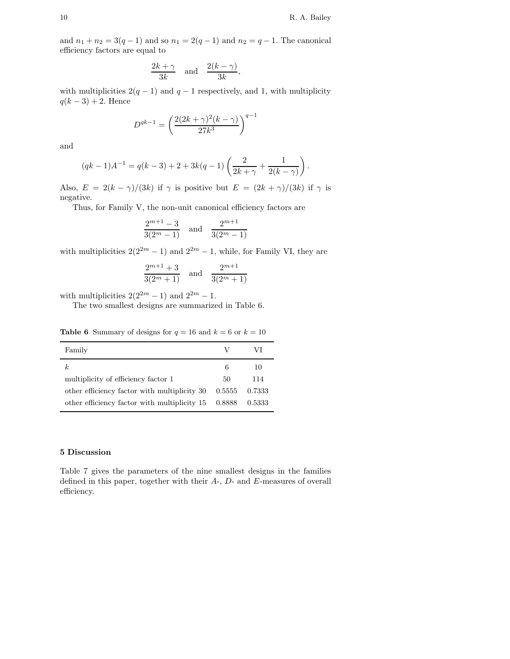and  $n_1 + n_2 = 3(q - 1)$  and so  $n_1 = 2(q - 1)$  and  $n_2 = q - 1$ . The canonical efficiency factors are equal to

$$
\frac{2k+\gamma}{3k} \quad \text{and} \quad \frac{2(k-\gamma)}{3k},
$$

with multiplicities  $2(q - 1)$  and  $q - 1$  respectively, and 1, with multiplicity  $q(k-3) + 2$ . Hence

$$
D^{qk-1}=\left(\frac{2(2k+\gamma)^2(k-\gamma)}{27k^3}\right)^{q-1}
$$

and

$$
(qk-1)A^{-1} = q(k-3) + 2 + 3k(q-1)\left(\frac{2}{2k+\gamma} + \frac{1}{2(k-\gamma)}\right).
$$

Also,  $E = 2(k - \gamma)/(3k)$  if  $\gamma$  is positive but  $E = (2k + \gamma)/(3k)$  if  $\gamma$  is negative.

Thus, for Family V, the non-unit canonical efficiency factors are

$$
\frac{2^{m+1}-3}{3(2^m-1)}\quad\text{and}\quad \frac{2^{m+1}}{3(2^m-1)}
$$

with multiplicities  $2(2^{2m} - 1)$  and  $2^{2m} - 1$ , while, for Family VI, they are

$$
\frac{2^{m+1}+3}{3(2^m+1)}
$$
 and 
$$
\frac{2^{m+1}}{3(2^m+1)}
$$

with multiplicities  $2(2^{2m}-1)$  and  $2^{2m}-1$ .

The two smallest designs are summarized in Table 6.

**Table 6** Summary of designs for  $q = 16$  and  $k = 6$  or  $k = 10$ 

| Family                                                |        | VI     |
|-------------------------------------------------------|--------|--------|
| k                                                     | 6      | 10     |
| multiplicity of efficiency factor 1                   | 50     | 114    |
| other efficiency factor with multiplicity 30          | 0.5555 | 0.7333 |
| other efficiency factor with multiplicity $15$ 0.8888 |        | 0.5333 |
|                                                       |        |        |

#### 5 Discussion

Table 7 gives the parameters of the nine smallest designs in the families defined in this paper, together with their A-, D- and E-measures of overall efficiency.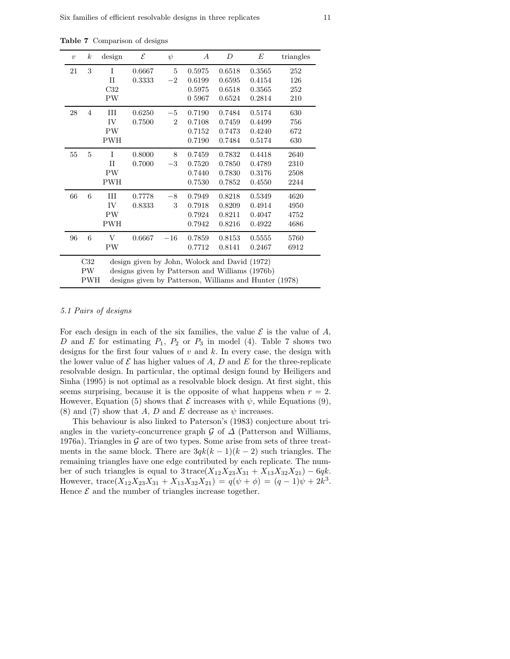Table 7 Comparison of designs

| $\upsilon$ | $\boldsymbol{k}$ | design       | $\mathcal E$                                           | $\psi$         | $\boldsymbol{A}$ | D      | E      | triangles |
|------------|------------------|--------------|--------------------------------------------------------|----------------|------------------|--------|--------|-----------|
| 21         | 3                | $\mathbf{I}$ | 0.6667                                                 | 5              | 0.5975           | 0.6518 | 0.3565 | 252       |
|            |                  | $_{\rm II}$  | 0.3333                                                 | $-2$           | 0.6199           | 0.6595 | 0.4154 | 126       |
|            |                  | C32          |                                                        |                | 0.5975           | 0.6518 | 0.3565 | 252       |
|            |                  | PW           |                                                        |                | 0 5967           | 0.6524 | 0.2814 | 210       |
| 28         | $\overline{4}$   | Ш            | 0.6250                                                 | $-5$           | 0.7190           | 0.7484 | 0.5174 | 630       |
|            |                  | IV           | 0.7500                                                 | $\overline{2}$ | 0.7108           | 0.7459 | 0.4499 | 756       |
|            |                  | PW           |                                                        |                | 0.7152           | 0.7473 | 0.4240 | 672       |
|            |                  | <b>PWH</b>   |                                                        |                | 0.7190           | 0.7484 | 0.5174 | 630       |
| 55         | 5                | I            | 0.8000                                                 | 8              | 0.7459           | 0.7832 | 0.4418 | 2640      |
|            |                  | $_{\rm II}$  | 0.7000                                                 | $-3$           | 0.7520           | 0.7850 | 0.4789 | 2310      |
|            |                  | PW           |                                                        |                | 0.7440           | 0.7830 | 0.3176 | 2508      |
|            |                  | <b>PWH</b>   |                                                        |                | 0.7530           | 0.7852 | 0.4550 | 2244      |
| 66         | 6                | Ш            | 0.7778                                                 | $-8$           | 0.7949           | 0.8218 | 0.5349 | 4620      |
|            |                  | IV           | 0.8333                                                 | 3              | 0.7918           | 0.8209 | 0.4914 | 4950      |
|            |                  | PW           |                                                        |                | 0.7924           | 0.8211 | 0.4047 | 4752      |
|            |                  | <b>PWH</b>   |                                                        |                | 0.7942           | 0.8216 | 0.4922 | 4686      |
| 96         | 6                | V            | 0.6667                                                 | $-16$          | 0.7859           | 0.8153 | 0.5555 | 5760      |
|            |                  | PW           |                                                        |                | 0.7712           | 0.8141 | 0.2467 | 6912      |
|            | C32              |              | design given by John, Wolock and David (1972)          |                |                  |        |        |           |
|            | PW               |              | designs given by Patterson and Williams (1976b)        |                |                  |        |        |           |
|            | PWH              |              | designs given by Patterson, Williams and Hunter (1978) |                |                  |        |        |           |

## 5.1 Pairs of designs

For each design in each of the six families, the value  $\mathcal E$  is the value of A, D and E for estimating  $P_1$ ,  $P_2$  or  $P_3$  in model (4). Table 7 shows two designs for the first four values of  $v$  and  $k$ . In every case, the design with the lower value of  $\mathcal E$  has higher values of A, D and E for the three-replicate resolvable design. In particular, the optimal design found by Heiligers and Sinha (1995) is not optimal as a resolvable block design. At first sight, this seems surprising, because it is the opposite of what happens when  $r = 2$ . However, Equation (5) shows that  $\mathcal E$  increases with  $\psi$ , while Equations (9), (8) and (7) show that A, D and E decrease as  $\psi$  increases.

This behaviour is also linked to Paterson's (1983) conjecture about triangles in the variety-concurrence graph  $\mathcal G$  of  $\Delta$  (Patterson and Williams, 1976a). Triangles in  $G$  are of two types. Some arise from sets of three treatments in the same block. There are  $3qk(k-1)(k-2)$  such triangles. The remaining triangles have one edge contributed by each replicate. The number of such triangles is equal to  $3 \text{trace}(X_{12}X_{23}X_{31} + X_{13}X_{32}X_{21}) - 6qk$ . However,  $trace(X_{12}X_{23}X_{31} + X_{13}X_{32}X_{21}) = q(\psi + \phi) = (q-1)\psi + 2k^3$ . Hence  $\mathcal E$  and the number of triangles increase together.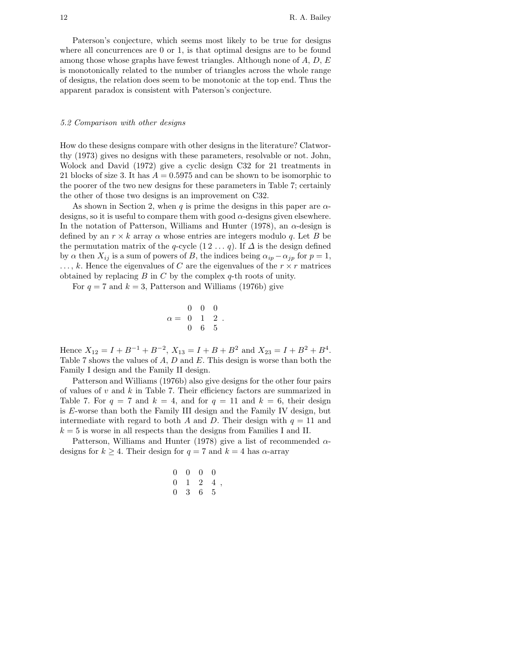Paterson's conjecture, which seems most likely to be true for designs where all concurrences are 0 or 1, is that optimal designs are to be found among those whose graphs have fewest triangles. Although none of  $A, D, E$ is monotonically related to the number of triangles across the whole range of designs, the relation does seem to be monotonic at the top end. Thus the apparent paradox is consistent with Paterson's conjecture.

## 5.2 Comparison with other designs

How do these designs compare with other designs in the literature? Clatworthy (1973) gives no designs with these parameters, resolvable or not. John, Wolock and David (1972) give a cyclic design C32 for 21 treatments in 21 blocks of size 3. It has  $A = 0.5975$  and can be shown to be isomorphic to the poorer of the two new designs for these parameters in Table 7; certainly the other of those two designs is an improvement on C32.

As shown in Section 2, when q is prime the designs in this paper are  $\alpha$ designs, so it is useful to compare them with good  $\alpha$ -designs given elsewhere. In the notation of Patterson, Williams and Hunter (1978), an  $\alpha$ -design is defined by an  $r \times k$  array  $\alpha$  whose entries are integers modulo q. Let B be the permutation matrix of the q-cycle  $(1 2 ... q)$ . If  $\Delta$  is the design defined by  $\alpha$  then  $X_{ij}$  is a sum of powers of B, the indices being  $\alpha_{ip} - \alpha_{jp}$  for  $p = 1$ ,  $\dots, k$ . Hence the eigenvalues of C are the eigenvalues of the  $r \times r$  matrices obtained by replacing  $B$  in  $C$  by the complex  $q$ -th roots of unity.

For  $q = 7$  and  $k = 3$ , Patterson and Williams (1976b) give

$$
\alpha = \begin{array}{ccc} 0 & 0 & 0 \\ 0 & 1 & 2 \\ 0 & 6 & 5 \end{array}.
$$

Hence  $X_{12} = I + B^{-1} + B^{-2}$ ,  $X_{13} = I + B + B^2$  and  $X_{23} = I + B^2 + B^4$ . Table 7 shows the values of  $A, D$  and  $E$ . This design is worse than both the Family I design and the Family II design.

Patterson and Williams (1976b) also give designs for the other four pairs of values of  $v$  and  $k$  in Table 7. Their efficiency factors are summarized in Table 7. For  $q = 7$  and  $k = 4$ , and for  $q = 11$  and  $k = 6$ , their design is E-worse than both the Family III design and the Family IV design, but intermediate with regard to both A and D. Their design with  $q = 11$  and  $k = 5$  is worse in all respects than the designs from Families I and II.

Patterson, Williams and Hunter (1978) give a list of recommended  $\alpha$ designs for  $k \geq 4$ . Their design for  $q = 7$  and  $k = 4$  has  $\alpha$ -array

$$
\begin{array}{cccc} 0 & 0 & 0 & 0 \\ 0 & 1 & 2 & 4 \\ 0 & 3 & 6 & 5 \end{array},
$$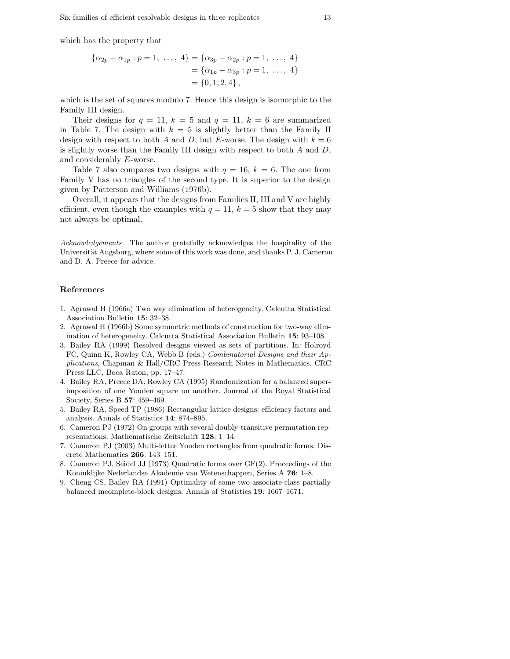which has the property that

$$
\{\alpha_{2p} - \alpha_{1p} : p = 1, \ldots, 4\} = \{\alpha_{3p} - \alpha_{2p} : p = 1, \ldots, 4\}
$$

$$
= \{\alpha_{1p} - \alpha_{3p} : p = 1, \ldots, 4\}
$$

$$
= \{0, 1, 2, 4\},
$$

which is the set of squares modulo 7. Hence this design is isomorphic to the Family III design.

Their designs for  $q = 11$ ,  $k = 5$  and  $q = 11$ ,  $k = 6$  are summarized in Table 7. The design with  $k = 5$  is slightly better than the Family II design with respect to both A and D, but E-worse. The design with  $k = 6$ is slightly worse than the Family III design with respect to both  $A$  and  $D$ , and considerably E-worse.

Table 7 also compares two designs with  $q = 16, k = 6$ . The one from Family V has no triangles of the second type. It is superior to the design given by Patterson and Williams (1976b).

Overall, it appears that the designs from Families II, III and V are highly efficient, even though the examples with  $q = 11$ ,  $k = 5$  show that they may not always be optimal.

Acknowledgements The author gratefully acknowledges the hospitality of the Universität Augsburg, where some of this work was done, and thanks P. J. Cameron and D. A. Preece for advice.

#### References

- 1. Agrawal H (1966a) Two way elimination of heterogeneity. Calcutta Statistical Association Bulletin 15: 32–38.
- 2. Agrawal H (1966b) Some symmetric methods of construction for two-way elimination of heterogeneity. Calcutta Statistical Association Bulletin 15: 93–108.
- 3. Bailey RA (1999) Resolved designs viewed as sets of partitions. In: Holroyd FC, Quinn K, Rowley CA, Webb B (eds.) Combinatorial Designs and their Applications, Chapman & Hall/CRC Press Research Notes in Mathematics. CRC Press LLC, Boca Raton, pp. 17–47.
- 4. Bailey RA, Preece DA, Rowley CA (1995) Randomization for a balanced superimposition of one Youden square on another. Journal of the Royal Statistical Society, Series B 57: 459–469.
- 5. Bailey RA, Speed TP (1986) Rectangular lattice designs: efficiency factors and analysis. Annals of Statistics 14: 874–895.
- 6. Cameron PJ (1972) On groups with several doubly-transitive permutation representations. Mathematische Zeitschrift 128: 1–14.
- 7. Cameron PJ (2003) Multi-letter Youden rectangles from quadratic forms. Discrete Mathematics 266: 143–151.
- 8. Cameron PJ, Seidel JJ (1973) Quadratic forms over GF(2). Proceedings of the Koninklijke Nederlandse Akademie van Wetenschappen, Series A 76: 1–8.
- 9. Cheng CS, Bailey RA (1991) Optimality of some two-associate-class partially balanced incomplete-block designs. Annals of Statistics 19: 1667–1671.